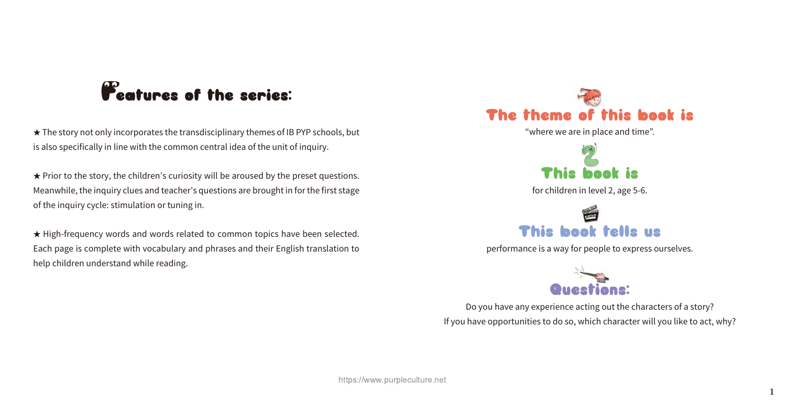

"where we are in place and time".



for children in level 2, age 5-6.



performance is a way for people to express ourselves.



Do you have any experience acting out the characters of a story? If you have opportunities to do so, which character will you like to act, why?

## **Features of the series:**

★ The story not only incorporates the transdisciplinary themes of IB PYP schools, but is also specifically in line with the common central idea of the unit of inquiry.

★ Prior to the story, the children's curiosity will be aroused by the preset questions. Meanwhile, the inquiry clues and teacher's questions are brought in for the first stage of the inquiry cycle: stimulation or tuning in.

★ High-frequency words and words related to common topics have been selected. Each page is complete with vocabulary and phrases and their English translation to help children understand while reading.